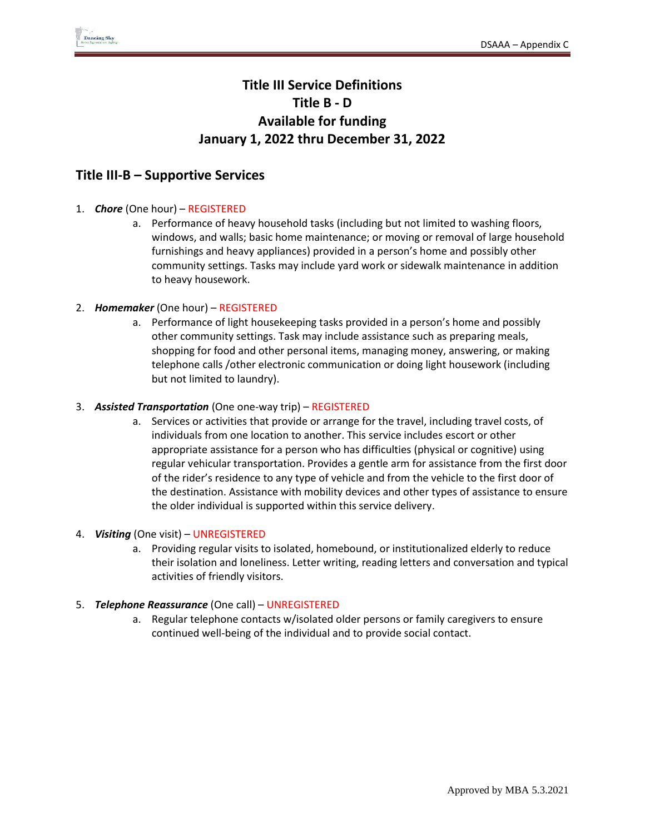# **Title III Service Definitions Title B - D Available for funding January 1, 2022 thru December 31, 2022**

### **Title III-B – Supportive Services**

### 1. *Chore* (One hour) – REGISTERED

a. Performance of heavy household tasks (including but not limited to washing floors, windows, and walls; basic home maintenance; or moving or removal of large household furnishings and heavy appliances) provided in a person's home and possibly other community settings. Tasks may include yard work or sidewalk maintenance in addition to heavy housework.

#### 2. *Homemaker* (One hour) – REGISTERED

a. Performance of light housekeeping tasks provided in a person's home and possibly other community settings. Task may include assistance such as preparing meals, shopping for food and other personal items, managing money, answering, or making telephone calls /other electronic communication or doing light housework (including but not limited to laundry).

#### 3. *Assisted Transportation* (One one-way trip) – REGISTERED

a. Services or activities that provide or arrange for the travel, including travel costs, of individuals from one location to another. This service includes escort or other appropriate assistance for a person who has difficulties (physical or cognitive) using regular vehicular transportation. Provides a gentle arm for assistance from the first door of the rider's residence to any type of vehicle and from the vehicle to the first door of the destination. Assistance with mobility devices and other types of assistance to ensure the older individual is supported within this service delivery.

#### 4. *Visiting* (One visit) – UNREGISTERED

a. Providing regular visits to isolated, homebound, or institutionalized elderly to reduce their isolation and loneliness. Letter writing, reading letters and conversation and typical activities of friendly visitors.

### 5. *Telephone Reassurance* (One call) – UNREGISTERED

a. Regular telephone contacts w/isolated older persons or family caregivers to ensure continued well-being of the individual and to provide social contact.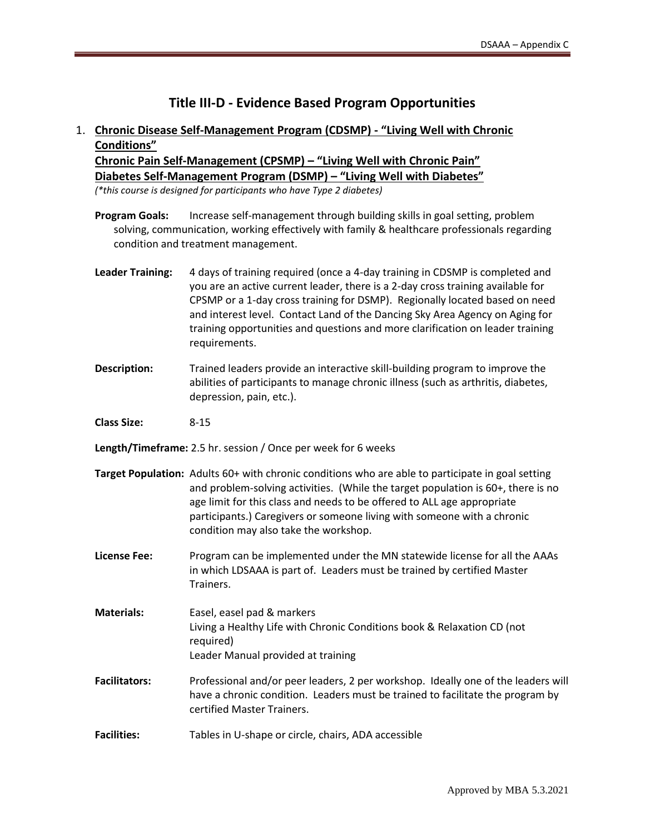# **Title III-D - Evidence Based Program Opportunities**

## 1. **Chronic Disease Self-Management Program (CDSMP) - "Living Well with Chronic Conditions"**

**Chronic Pain Self-Management (CPSMP) – "Living Well with Chronic Pain" Diabetes Self-Management Program (DSMP) – "Living Well with Diabetes"**

*(\*this course is designed for participants who have Type 2 diabetes)*

- **Program Goals:** Increase self-management through building skills in goal setting, problem solving, communication, working effectively with family & healthcare professionals regarding condition and treatment management.
- **Leader Training:** 4 days of training required (once a 4-day training in CDSMP is completed and you are an active current leader, there is a 2-day cross training available for CPSMP or a 1-day cross training for DSMP). Regionally located based on need and interest level. Contact Land of the Dancing Sky Area Agency on Aging for training opportunities and questions and more clarification on leader training requirements.
- **Description:** Trained leaders provide an interactive skill-building program to improve the abilities of participants to manage chronic illness (such as arthritis, diabetes, depression, pain, etc.).
- **Class Size:** 8-15
- **Length/Timeframe:** 2.5 hr. session / Once per week for 6 weeks
- **Target Population:** Adults 60+ with chronic conditions who are able to participate in goal setting and problem-solving activities. (While the target population is 60+, there is no age limit for this class and needs to be offered to ALL age appropriate participants.) Caregivers or someone living with someone with a chronic condition may also take the workshop.
- **License Fee:** Program can be implemented under the MN statewide license for all the AAAs in which LDSAAA is part of. Leaders must be trained by certified Master Trainers.
- **Materials:** Easel, easel pad & markers Living a Healthy Life with Chronic Conditions book & Relaxation CD (not required) Leader Manual provided at training
- **Facilitators:** Professional and/or peer leaders, 2 per workshop. Ideally one of the leaders will have a chronic condition. Leaders must be trained to facilitate the program by certified Master Trainers.
- **Facilities:** Tables in U-shape or circle, chairs, ADA accessible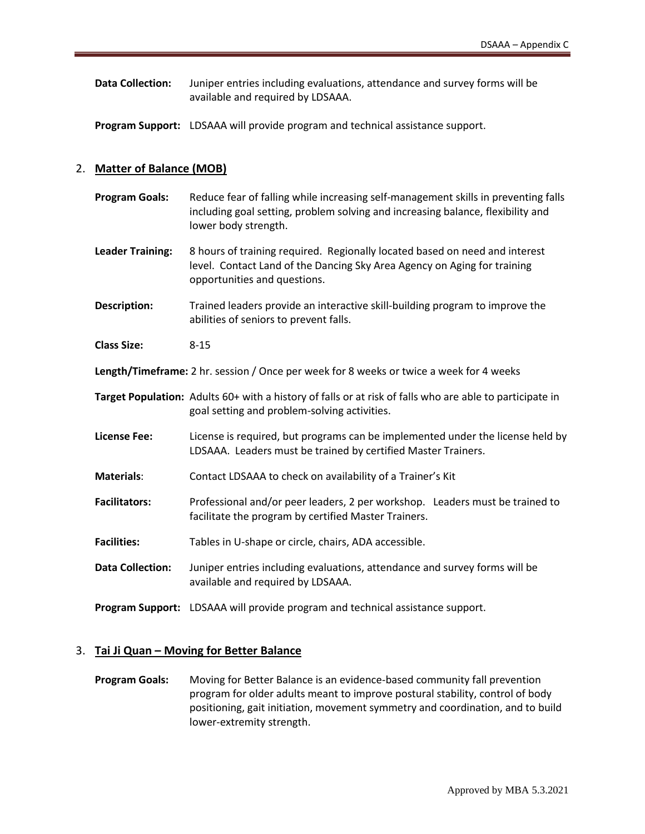**Data Collection:** Juniper entries including evaluations, attendance and survey forms will be available and required by LDSAAA.

**Program Support:** LDSAAA will provide program and technical assistance support.

#### 2. **Matter of Balance (MOB)**

| <b>Program Goals:</b>   | Reduce fear of falling while increasing self-management skills in preventing falls<br>including goal setting, problem solving and increasing balance, flexibility and<br>lower body strength. |
|-------------------------|-----------------------------------------------------------------------------------------------------------------------------------------------------------------------------------------------|
| <b>Leader Training:</b> | 8 hours of training required. Regionally located based on need and interest<br>level. Contact Land of the Dancing Sky Area Agency on Aging for training<br>opportunities and questions.       |

**Description:** Trained leaders provide an interactive skill-building program to improve the abilities of seniors to prevent falls.

**Class Size:** 8-15

**Length/Timeframe:** 2 hr. session / Once per week for 8 weeks or twice a week for 4 weeks

**Target Population:** Adults 60+ with a history of falls or at risk of falls who are able to participate in goal setting and problem-solving activities.

- **License Fee:** License is required, but programs can be implemented under the license held by LDSAAA. Leaders must be trained by certified Master Trainers.
- **Materials**: Contact LDSAAA to check on availability of a Trainer's Kit
- **Facilitators:** Professional and/or peer leaders, 2 per workshop. Leaders must be trained to facilitate the program by certified Master Trainers.

**Facilities:** Tables in U-shape or circle, chairs, ADA accessible.

**Data Collection:** Juniper entries including evaluations, attendance and survey forms will be available and required by LDSAAA.

**Program Support:** LDSAAA will provide program and technical assistance support.

#### 3. **Tai Ji Quan – Moving for Better Balance**

**Program Goals:** Moving for Better Balance is an evidence-based community fall prevention program for older adults meant to improve postural stability, control of body positioning, gait initiation, movement symmetry and coordination, and to build lower-extremity strength.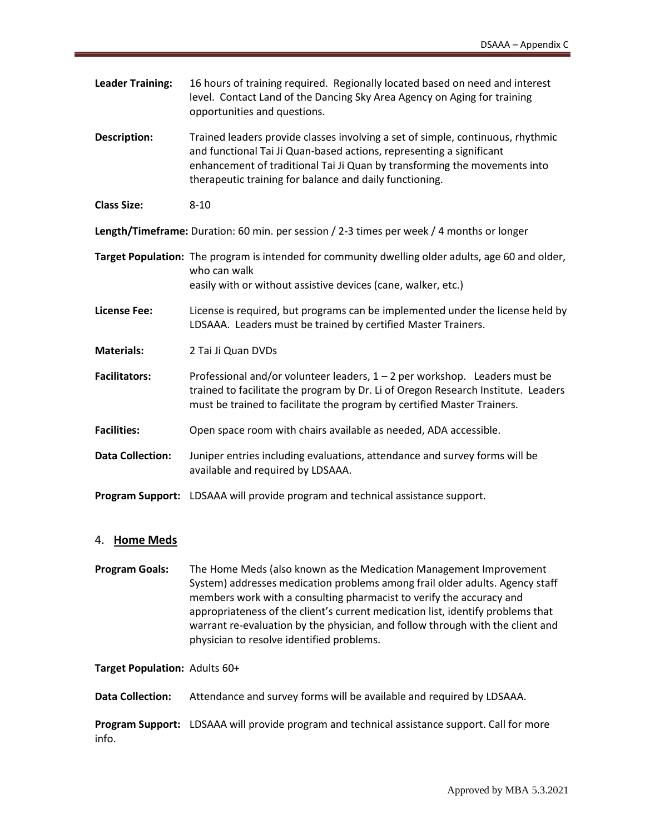| <b>Leader Training:</b>                                                                   | 16 hours of training required. Regionally located based on need and interest<br>level. Contact Land of the Dancing Sky Area Agency on Aging for training<br>opportunities and questions.                                                                                                        |
|-------------------------------------------------------------------------------------------|-------------------------------------------------------------------------------------------------------------------------------------------------------------------------------------------------------------------------------------------------------------------------------------------------|
| <b>Description:</b>                                                                       | Trained leaders provide classes involving a set of simple, continuous, rhythmic<br>and functional Tai Ji Quan-based actions, representing a significant<br>enhancement of traditional Tai Ji Quan by transforming the movements into<br>therapeutic training for balance and daily functioning. |
| <b>Class Size:</b>                                                                        | $8 - 10$                                                                                                                                                                                                                                                                                        |
| Length/Timeframe: Duration: 60 min. per session / 2-3 times per week / 4 months or longer |                                                                                                                                                                                                                                                                                                 |
|                                                                                           | Target Population: The program is intended for community dwelling older adults, age 60 and older,<br>who can walk<br>easily with or without assistive devices (cane, walker, etc.)                                                                                                              |
| <b>License Fee:</b>                                                                       | License is required, but programs can be implemented under the license held by<br>LDSAAA. Leaders must be trained by certified Master Trainers.                                                                                                                                                 |
| <b>Materials:</b>                                                                         | 2 Tai Ji Quan DVDs                                                                                                                                                                                                                                                                              |
| <b>Facilitators:</b>                                                                      | Professional and/or volunteer leaders, $1 - 2$ per workshop. Leaders must be<br>trained to facilitate the program by Dr. Li of Oregon Research Institute. Leaders<br>must be trained to facilitate the program by certified Master Trainers.                                                    |
| <b>Facilities:</b>                                                                        | Open space room with chairs available as needed, ADA accessible.                                                                                                                                                                                                                                |
| <b>Data Collection:</b>                                                                   | Juniper entries including evaluations, attendance and survey forms will be<br>available and required by LDSAAA.                                                                                                                                                                                 |
|                                                                                           | Program Support: LDSAAA will provide program and technical assistance support.                                                                                                                                                                                                                  |

### 4. **Home Meds**

**Program Goals:** The Home Meds (also known as the Medication Management Improvement System) addresses medication problems among frail older adults. Agency staff members work with a consulting pharmacist to verify the accuracy and appropriateness of the client's current medication list, identify problems that warrant re-evaluation by the physician, and follow through with the client and physician to resolve identified problems.

**Target Population:** Adults 60+

**Data Collection:** Attendance and survey forms will be available and required by LDSAAA.

**Program Support:** LDSAAA will provide program and technical assistance support. Call for more info.